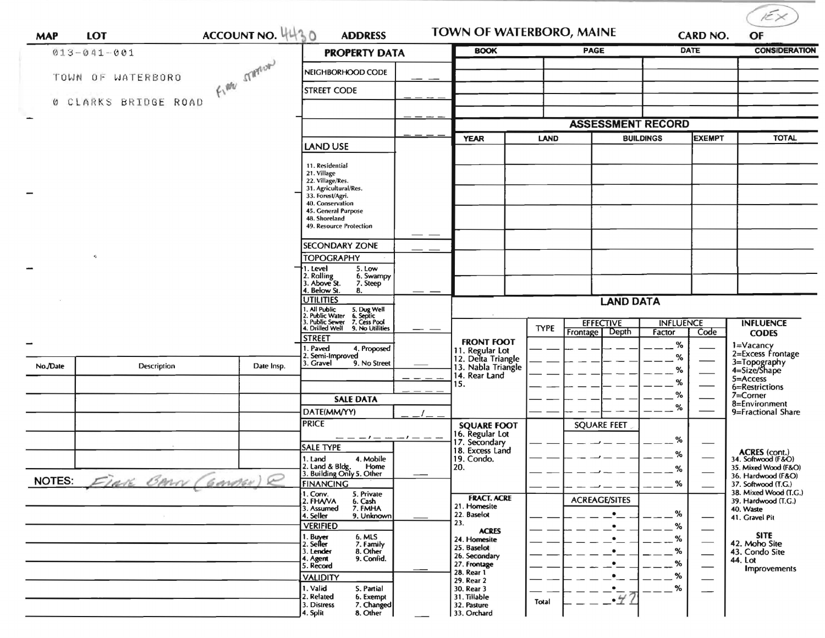| <b>MAP</b>               | <b>LOT</b>           | ACCOUNT NO. 4430 | <b>ADDRESS</b>                                                                                                                                                                         |                                                          | <b>TOWN OF WATERBORO, MAINE</b> |                                   |                  |               | $\widetilde{K}\times$<br>OF                                 |  |
|--------------------------|----------------------|------------------|----------------------------------------------------------------------------------------------------------------------------------------------------------------------------------------|----------------------------------------------------------|---------------------------------|-----------------------------------|------------------|---------------|-------------------------------------------------------------|--|
|                          | $013 - 041 - 001$    |                  | <b>PROPERTY DATA</b>                                                                                                                                                                   | <b>BOOK</b>                                              | <b>PAGE</b>                     |                                   |                  | <b>DATE</b>   | <b>CONSIDERATION</b>                                        |  |
|                          | TOWN OF WATERBORO    | From STATEORD    | NEIGHBORHOOD CODE                                                                                                                                                                      |                                                          |                                 |                                   |                  |               |                                                             |  |
|                          |                      |                  | <b>STREET CODE</b>                                                                                                                                                                     |                                                          |                                 |                                   |                  |               |                                                             |  |
|                          | 0 CLARKS BRIDGE ROAD |                  |                                                                                                                                                                                        |                                                          |                                 |                                   |                  |               |                                                             |  |
| $\overline{\phantom{0}}$ |                      |                  |                                                                                                                                                                                        |                                                          | <b>ASSESSMENT RECORD</b>        |                                   |                  |               |                                                             |  |
|                          |                      |                  | LAND USE                                                                                                                                                                               | <b>YEAR</b>                                              | <b>LAND</b>                     |                                   | <b>BUILDINGS</b> | <b>EXEMPT</b> | <b>TOTAL</b>                                                |  |
| $\overline{\phantom{a}}$ |                      |                  | 11. Residential<br>21. Village<br>22. Village/Res.<br>31. Agricultural/Res.<br>33. Forest/Agri.<br>40. Conservation<br>45. General Purpose<br>48. Shoreland<br>49. Resource Protection |                                                          |                                 |                                   |                  |               |                                                             |  |
|                          |                      |                  | ___<br><b>SECONDARY ZONE</b>                                                                                                                                                           |                                                          |                                 |                                   |                  |               |                                                             |  |
|                          | $\tau_I^{\rm t}$     |                  | <b>TOPOGRAPHY</b>                                                                                                                                                                      |                                                          |                                 |                                   |                  |               |                                                             |  |
|                          |                      |                  | →1. Level<br>5. Low<br>2. Rolling<br>3. Above St.<br>6. Swampy<br>7. Steep<br>4. Below St.<br>8.                                                                                       |                                                          |                                 |                                   |                  |               |                                                             |  |
|                          |                      |                  | <b>UTILITIES</b>                                                                                                                                                                       | <b>LAND DATA</b>                                         |                                 |                                   |                  |               |                                                             |  |
|                          |                      |                  | 1. All Public<br>2. Public Water<br>3. Public Sewer<br>4. Drilled Well<br>5. Dug Well<br>6. Septic<br>7. Cess Pool<br>9. No Utilities                                                  |                                                          | <b>TYPE</b>                     | <b>EFFECTIVE</b>                  | <b>INFLUENCE</b> |               | <b>INFLUENCE</b>                                            |  |
|                          |                      |                  | <b>STREET</b><br>1. Paved<br>4. Proposed                                                                                                                                               | <b>FRONT FOOT</b><br>11. Regular Lot                     |                                 | Frontage Depth                    | Factor<br>%      | Code          | <b>CODES</b><br>1=Vacancy<br>2=Excess Frontage              |  |
| No./Date                 | Description          | Date Insp.       | 2. Semi-Improved<br>3. Gravel<br>9. No Street                                                                                                                                          | 12. Delta Triangle<br>13. Nabla Triangle                 |                                 |                                   | %<br>$\%$        |               | 3=Topography<br>4=Size/Shape                                |  |
|                          |                      |                  |                                                                                                                                                                                        | 14. Rear Land<br>15.                                     |                                 |                                   | %                |               | 5=Access<br>6=Restrictions                                  |  |
|                          |                      |                  | <b>SALE DATA</b>                                                                                                                                                                       |                                                          |                                 |                                   | %                |               | 7=Corner<br>8=Environment                                   |  |
|                          |                      |                  | DATE(MM/YY)                                                                                                                                                                            |                                                          |                                 |                                   | %                |               | 9=Fractional Share                                          |  |
|                          |                      |                  | <b>PRICE</b>                                                                                                                                                                           | <b>SQUARE FOOT</b>                                       |                                 | <b>SQUARE FEET</b>                |                  |               |                                                             |  |
|                          |                      |                  | $--- - - - - -$<br>$-1$ $-$<br><b>SALE TYPE</b>                                                                                                                                        | 16. Regular Lot<br>17. Secondary<br>18. Excess Land      |                                 |                                   | %                |               |                                                             |  |
|                          |                      |                  | 1. Land<br>4. Mobile<br>2. Land & Bldg.<br>Home                                                                                                                                        | 19. Condo.<br>20.                                        |                                 |                                   | %<br>$\alpha$    |               | ACRES (cont.)<br>34. Softwood (F&O)<br>35. Mixed Wood (F&O) |  |
| <b>NOTES:</b>            | EIAR BARN (GANDER) R |                  | 3. Building Only 5. Other<br><b>FINANCING</b>                                                                                                                                          |                                                          |                                 |                                   | %                |               | 36. Hardwood (F&O)                                          |  |
|                          |                      |                  | 1. Conv.<br>5. Private                                                                                                                                                                 | <b>FRACT. ACRE</b>                                       |                                 |                                   |                  |               | 37. Softwood (T.G.)<br>38. Mixed Wood (T.G.)                |  |
|                          |                      |                  | 2. FHAVA<br>6. Cash<br>7. FMHA<br>3. Assumed                                                                                                                                           | 21. Homesite<br>22. Baselot                              |                                 | <b>ACREAGE/SITES</b><br>$\bullet$ | %                |               | 39. Hardwood (T.G.)<br>40. Waste                            |  |
|                          |                      |                  | 4. Seller<br>9. Unknown<br><b>VERIFIED</b>                                                                                                                                             | 23.                                                      |                                 |                                   | %                |               | 41. Gravel Pit                                              |  |
|                          |                      |                  | 1. Buyer<br>2. Seller<br>6. MLS                                                                                                                                                        | <b>ACRES</b><br>24. Homesite                             |                                 |                                   | %                |               | <b>SITE</b><br>42. Moho Site                                |  |
|                          |                      |                  | 7. Family<br>3. Lender<br>8. Other                                                                                                                                                     | 25. Baselot<br>26. Secondary                             |                                 |                                   | %                |               | 43. Condo Site                                              |  |
|                          |                      |                  | 9. Confid.<br>4. Agent<br>5. Record                                                                                                                                                    | 27. Frontage                                             |                                 |                                   | %                |               | 44. Lot<br><b>Improvements</b>                              |  |
|                          |                      |                  | <b>VALIDITY</b>                                                                                                                                                                        | 28. Rear 1<br>29. Rear 2                                 |                                 |                                   | %                |               |                                                             |  |
|                          |                      |                  | 1. Valid<br>S. Partial<br>2. Related<br>6. Exempt<br>7. Changed<br>3. Distress<br>4. Split<br>8. Other                                                                                 | 30. Rear 3<br>31. Tillable<br>32. Pasture<br>33. Orchard | Total                           | $\cdot$                           | $\%$             |               |                                                             |  |